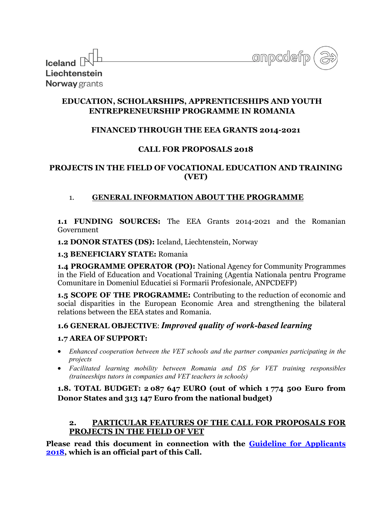| <b>Iceland</b> $\mathbb{N}^{\mathbb{Z}}$ | onpcdefp |
|------------------------------------------|----------|
|                                          |          |
| Liechtenstein                            |          |
| <b>Norway</b> grants                     |          |

# **EDUCATION, SCHOLARSHIPS, APPRENTICESHIPS AND YOUTH ENTREPRENEURSHIP PROGRAMME IN ROMANIA**

## **FINANCED THROUGH THE EEA GRANTS 2014-2021**

## **CALL FOR PROPOSALS 2018**

## **PROJECTS IN THE FIELD OF VOCATIONAL EDUCATION AND TRAINING (VET)**

## 1. **GENERAL INFORMATION ABOUT THE PROGRAMME**

**1.1 FUNDING SOURCES:** The EEA Grants 2014-2021 and the Romanian Government

**1.2 DONOR STATES (DS):** Iceland, Liechtenstein, Norway

## **1.3 BENEFICIARY STATE:** Romania

**1.4 PROGRAMME OPERATOR (PO):** National Agency for Community Programmes in the Field of Education and Vocational Training (Agentia Nationala pentru Programe Comunitare in Domeniul Educatiei si Formarii Profesionale, ANPCDEFP)

**1.5 SCOPE OF THE PROGRAMME:** Contributing to the reduction of economic and social disparities in the European Economic Area and strengthening the bilateral relations between the EEA states and Romania.

## **1.6 GENERAL OBJECTIVE**: *Improved quality of work-based learning*

## **1.7 AREA OF SUPPORT:**

- *Enhanced cooperation between the VET schools and the partner companies participating in the projects*
- *Facilitated learning mobility between Romania and DS for VET training responsibles (traineeships tutors in companies and VET teachers in schools)*

## **1.8. TOTAL BUDGET: 2 087 647 EURO (out of which 1 774 500 Euro from Donor States and 313 147 Euro from the national budget)**

## **2. PARTICULAR FEATURES OF THE CALL FOR PROPOSALS FOR PROJECTS IN THE FIELD OF VET**

**Please read this document in connection with the [Guideline for Applicants](http://www.eea4edu.ro/wp-content/uploads/2018_Fisiere_EN/VET/GUIDE_VET_2017_EN.pdf)  [2018,](http://www.eea4edu.ro/wp-content/uploads/2018_Fisiere_EN/VET/GUIDE_VET_2017_EN.pdf) which is an official part of this Call.**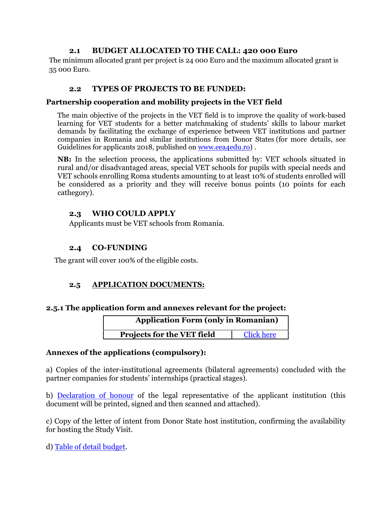## **2.1 BUDGET ALLOCATED TO THE CALL: 420 000 Euro**

The minimum allocated grant per project is 24 000 Euro and the maximum allocated grant is 35 000 Euro.

## **2.2 TYPES OF PROJECTS TO BE FUNDED:**

## **Partnership cooperation and mobility projects in the VET field**

The main objective of the projects in the VET field is to improve the quality of work-based learning for VET students for a better matchmaking of students' skills to labour market demands by facilitating the exchange of experience between VET institutions and partner companies in Romania and similar institutions from Donor States (for more details, see Guidelines for applicants 2018, published on [www.eea4edu.ro\)](http://www.eea4edu.ro/).

**NB:** In the selection process, the applications submitted by: VET schools situated in rural and/or disadvantaged areas, special VET schools for pupils with special needs and VET schools enrolling Roma students amounting to at least 10% of students enrolled will be considered as a priority and they will receive bonus points (10 points for each cathegory).

## **2.3 WHO COULD APPLY**

Applicants must be VET schools from Romania.

## **2.4 CO-FUNDING**

The grant will cover 100% of the eligible costs.

# **2.5 APPLICATION DOCUMENTS:**

## **2.5.1 The application form and annexes relevant for the project:**

| <b>Application Form (only in Romanian)</b> |                   |
|--------------------------------------------|-------------------|
| Projects for the VET field                 | <b>Click here</b> |

## **Annexes of the applications (compulsory):**

a) Copies of the inter-institutional agreements (bilateral agreements) concluded with the partner companies for students' internships (practical stages).

b) [Declaration of honour](http://www.eea4edu.ro/wp-content/uploads/2018_Fisiere_RO/VET/Declaratia_de_onoare_2018-RO.pdf) of the legal representative of the applicant institution (this document will be printed, signed and then scanned and attached).

c) Copy of the letter of intent from Donor State host institution, confirming the availability for hosting the Study Visit.

d) [Table of detail budget.](http://www.eea4edu.ro/wp-content/uploads/2018_Fisiere_RO/VET/Tabel-bugetar-VET.xlsx)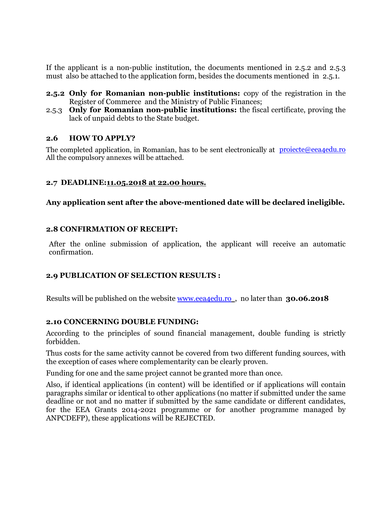If the applicant is a non-public institution, the documents mentioned in 2.5.2 and 2.5.3 must also be attached to the application form, besides the documents mentioned in 2.5.1.

- **2.5.2 Only for Romanian non-public institutions:** copy of the registration in the Register of Commerce and the Ministry of Public Finances;
- 2.5.3 **Only for Romanian non-public institutions:** the fiscal certificate, proving the lack of unpaid debts to the State budget.

#### **2.6 HOW TO APPLY?**

The completed application, in Romanian, has to be sent electronically at projecte@eea4edu.ro All the compulsory annexes will be attached.

## **2.7 DEADLINE:11.05.2018 at 22.00 hours.**

#### **Any application sent after the above-mentioned date will be declared ineligible.**

#### **2.8 CONFIRMATION OF RECEIPT:**

After the online submission of application, the applicant will receive an automatic confirmation.

#### **2.9 PUBLICATION OF SELECTION RESULTS :**

Results will be published on the website [www.eea4edu.ro](http://www.eea4edu.ro/) , no later than **30.06.2018** 

#### **2.10 CONCERNING DOUBLE FUNDING:**

According to the principles of sound financial management, double funding is strictly forbidden.

Thus costs for the same activity cannot be covered from two different funding sources, with the exception of cases where complementarity can be clearly proven.

Funding for one and the same project cannot be granted more than once.

Also, if identical applications (in content) will be identified or if applications will contain paragraphs similar or identical to other applications (no matter if submitted under the same deadline or not and no matter if submitted by the same candidate or different candidates, for the EEA Grants 2014-2021 programme or for another programme managed by ANPCDEFP), these applications will be REJECTED.